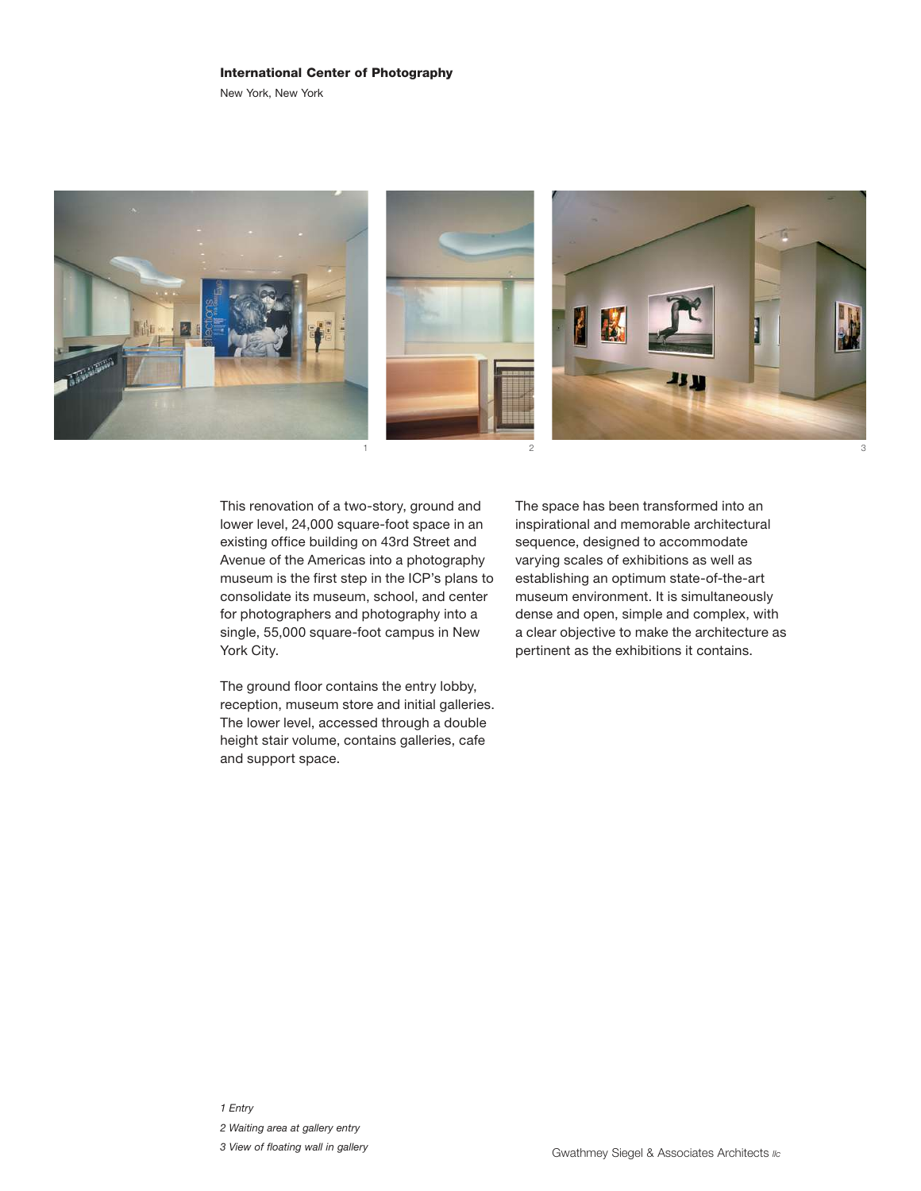## International Center of Photography

New York, New York



This renovation of a two-story, ground and lower level, 24,000 square-foot space in an existing office building on 43rd Street and Avenue of the Americas into a photography museum is the first step in the ICP's plans to consolidate its museum, school, and center for photographers and photography into a single, 55,000 square-foot campus in New York City.

The ground floor contains the entry lobby, reception, museum store and initial galleries. The lower level, accessed through a double height stair volume, contains galleries, cafe and support space.

The space has been transformed into an inspirational and memorable architectural sequence, designed to accommodate varying scales of exhibitions as well as establishing an optimum state-of-the-art museum environment. It is simultaneously dense and open, simple and complex, with a clear objective to make the architecture as pertinent as the exhibitions it contains.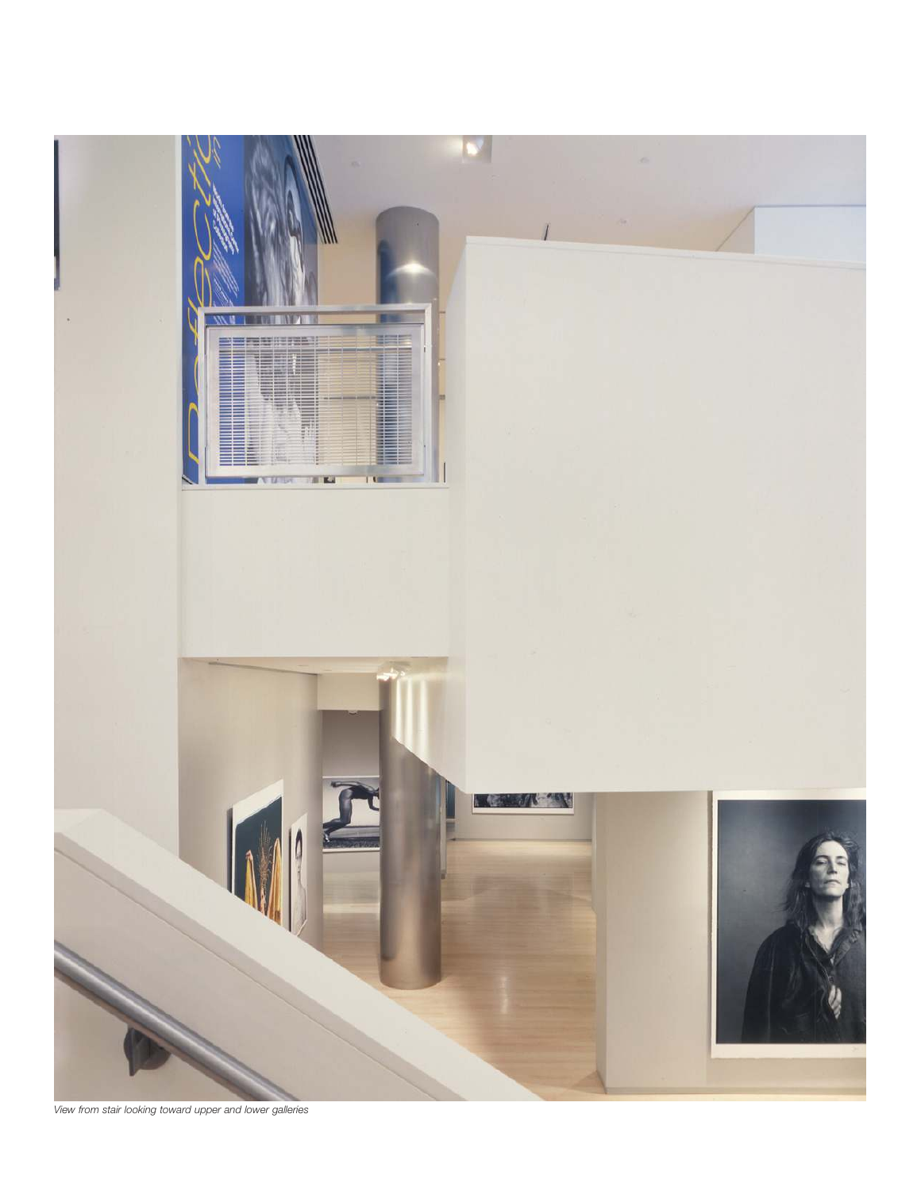

*View from stair looking toward upper and lower galleries*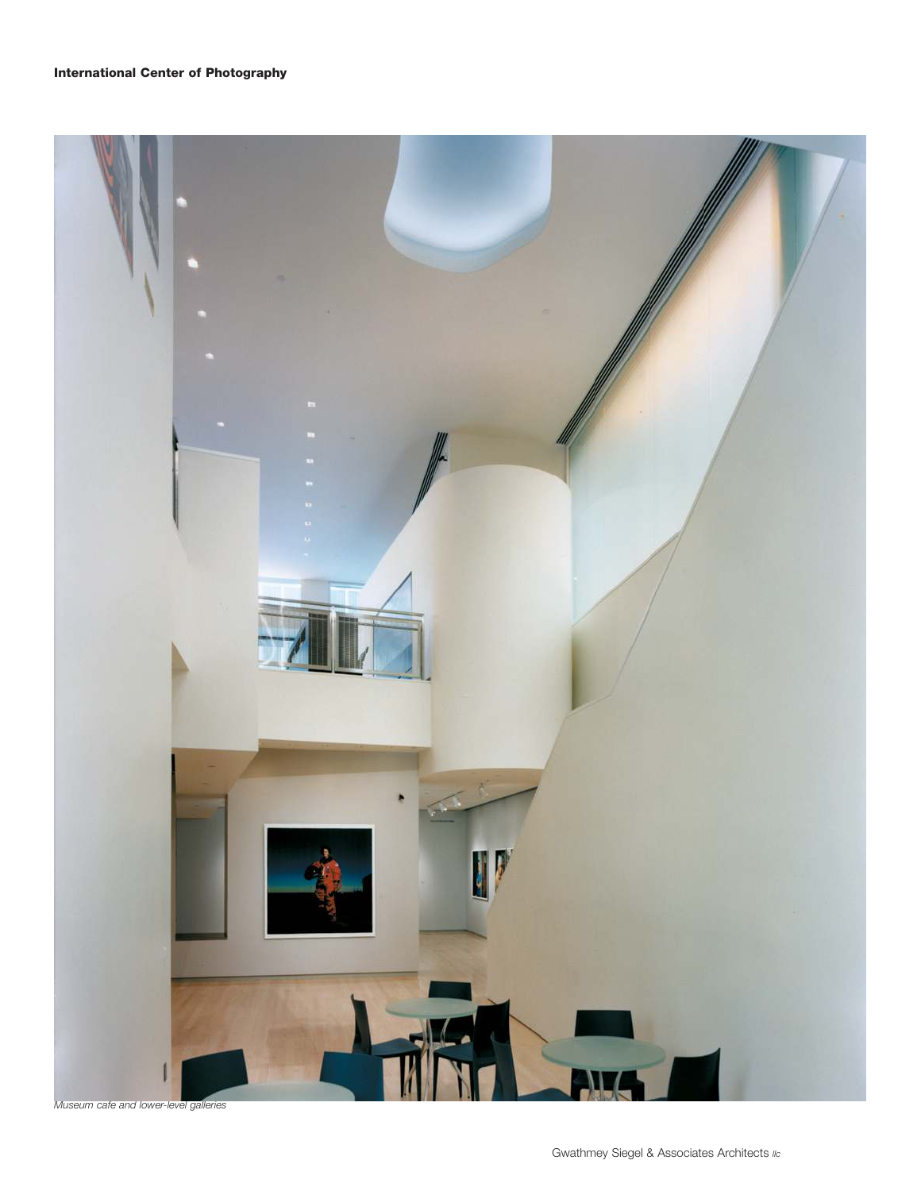

*Museum cafe and lower-level galleries*